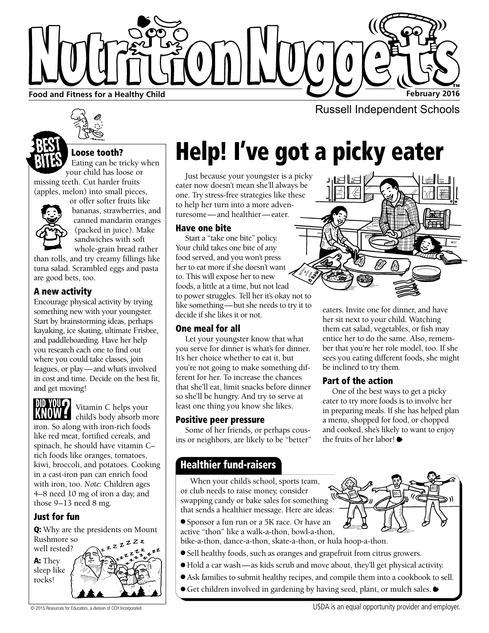

## Loose tooth?

Eating can be tricky when your child has loose or missing teeth. Cut harder fruits (apples, melon) into small pieces,



or offer softer fruits like bananas, strawberries, and canned mandarin oranges (packed in juice). Make sandwiches with soft whole-grain bread rather

than rolls, and try creamy fillings like tuna salad. Scrambled eggs and pasta are good bets, too.

#### A new activity

Encourage physical activity by trying something new with your youngster. Start by brainstorming ideas, perhaps kayaking, ice skating, ultimate Frisbee, and paddleboarding. Have her help you research each one to find out where you could take classes, join leagues, or play—and what's involved in cost and time. Decide on the best fit, and get moving!



Vitamin C helps your child's body absorb more

iron. So along with iron-rich foods like red meat, fortified cereals, and spinach, he should have vitamin C– rich foods like oranges, tomatoes, kiwi, broccoli, and potatoes. Cooking in a cast-iron pan can enrich food with iron, too. *Note:* Children ages 4–8 need 10 mg of iron a day, and those 9–13 need 8 mg.

## Just for fun

Q: Why are the presidents on Mount Rushmore so zzzz



# Help! I've got a picky eater

Just because your youngster is a picky eater now doesn't mean she'll always be one. Try stress-free strategies like these to help her turn into a more adventuresome—and healthier—eater.

#### Have one bite

Start a "take one bite" policy. Your child takes one bite of any food served, and you won't press her to eat more if she doesn't want to. This will expose her to new foods, a little at a time, but not lead to power struggles. Tell her it's okay not to like something—but she needs to try it to decide if she likes it or not.

#### One meal for all

Let your youngster know that what you serve for dinner is what's for dinner. It's her choice whether to eat it, but you're not going to make something different for her. To increase the chances that she'll eat, limit snacks before dinner so she'll be hungry. And try to serve at least one thing you know she likes.

#### Positive peer pressure

Some of her friends, or perhaps cousins or neighbors, are likely to be "better"

#### eaters. Invite one for dinner, and have her sit next to your child. Watching them eat salad, vegetables, or fish may entice her to do the same. Also, remember that you're her role model, too. If she sees you eating different foods, she might be inclined to try them.

## Part of the action

One of the best ways to get a picky eater to try more foods is to involve her in preparing meals. If she has helped plan a menu, shopped for food, or chopped and cooked, she's likely to want to enjoy the fruits of her labor!

## Healthier fund-raisers

When your child's school, sports team, or club needs to raise money, consider swapping candy or bake sales for something that sends a healthier message. Here are ideas:

- Sponsor a fun run or a 5K race. Or have an active "thon" like a walk-a-thon, bowl-a-thon,
- bike-a-thon, dance-a-thon, skate-a-thon, or hula hoop-a-thon.
- Sell healthy foods, such as oranges and grapefruit from citrus growers.
- Hold a car wash—as kids scrub and move about, they'll get physical activity.
- Ask families to submit healthy recipes, and compile them into a cookbook to sell.
- Get children involved in gardening by having seed, plant, or mulch sales. ●



© 2015 Resources for Educators, a division of CCH Incorporated USDA is an equal opportunity provider and employer.